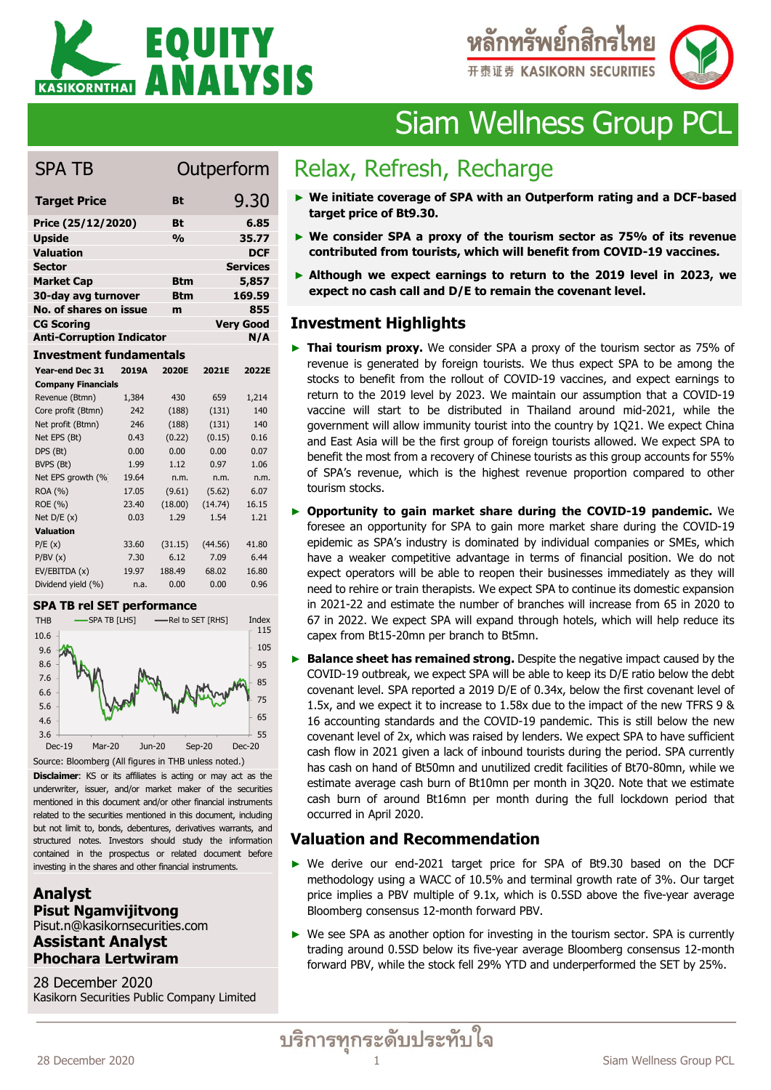



# Siam Wellness Group PCL

# SPA TB Outperform

| <b>Target Price</b>              | Bt            | 9.30             |
|----------------------------------|---------------|------------------|
| Price (25/12/2020)               | Bt            | 6.85             |
| <b>Upside</b>                    | $\frac{0}{0}$ | 35.77            |
| <b>Valuation</b>                 |               | <b>DCF</b>       |
| <b>Sector</b>                    |               | <b>Services</b>  |
| <b>Market Cap</b>                | Btm           | 5,857            |
| 30-day avg turnover              | <b>Btm</b>    | 169.59           |
| No. of shares on issue           | m             | 855              |
| <b>CG Scoring</b>                |               | <b>Very Good</b> |
| <b>Anti-Corruption Indicator</b> |               | N/A              |
|                                  |               |                  |

#### **Investment fundamentals**

| Year-end Dec 31                                                                                                                  | 2019A                          | 2020E                                  | 2021E             | 2022E               |  |  |  |  |  |  |
|----------------------------------------------------------------------------------------------------------------------------------|--------------------------------|----------------------------------------|-------------------|---------------------|--|--|--|--|--|--|
| <b>Company Financials</b>                                                                                                        |                                |                                        |                   |                     |  |  |  |  |  |  |
| Revenue (Btmn)                                                                                                                   | 1,384                          | 430                                    | 659               | 1,214               |  |  |  |  |  |  |
| Core profit (Btmn)                                                                                                               | 242                            | (188)                                  | (131)             | 140                 |  |  |  |  |  |  |
| Net profit (Btmn)                                                                                                                | 246                            | (188)                                  | (131)             | 140                 |  |  |  |  |  |  |
| Net EPS (Bt)                                                                                                                     | 0.43                           | (0.22)                                 | (0.15)            | 0.16                |  |  |  |  |  |  |
| DPS (Bt)                                                                                                                         | 0.00                           | 0.00                                   | 0.00              | 0.07                |  |  |  |  |  |  |
| BVPS (Bt)                                                                                                                        | 1.99                           | 1.12                                   | 0.97              | 1.06                |  |  |  |  |  |  |
| Net EPS growth (%                                                                                                                | 19.64                          | n.m.                                   | n.m.              | n.m.                |  |  |  |  |  |  |
| ROA (%)                                                                                                                          | 17.05                          | (9.61)                                 | (5.62)            | 6.07                |  |  |  |  |  |  |
| ROE (%)                                                                                                                          | 23.40                          | (18.00)                                | (14.74)           | 16.15               |  |  |  |  |  |  |
| Net $D/E(x)$                                                                                                                     | 0.03                           | 1.29                                   | 1.54              | 1.21                |  |  |  |  |  |  |
| <b>Valuation</b>                                                                                                                 |                                |                                        |                   |                     |  |  |  |  |  |  |
| P/E(x)                                                                                                                           | 33.60                          | (31.15)                                | (44.56)           | 41.80               |  |  |  |  |  |  |
| P/BV(x)                                                                                                                          | 7.30                           | 6.12                                   | 7.09              | 6.44                |  |  |  |  |  |  |
| EV/EBITDA (x)                                                                                                                    | 19.97                          | 188.49                                 | 68.02             | 16.80               |  |  |  |  |  |  |
| Dividend yield (%)                                                                                                               | n.a.                           | 0.00                                   | 0.00              | 0.96                |  |  |  |  |  |  |
| SPA TB rel SET performance                                                                                                       |                                |                                        |                   |                     |  |  |  |  |  |  |
| SPA TB [LHS]<br><b>THB</b>                                                                                                       |                                |                                        | -Rel to SET [RHS] | Index               |  |  |  |  |  |  |
| 10.6                                                                                                                             |                                |                                        |                   | 115                 |  |  |  |  |  |  |
| 9.6                                                                                                                              |                                |                                        |                   | 105                 |  |  |  |  |  |  |
| 8.6                                                                                                                              |                                |                                        |                   | 95                  |  |  |  |  |  |  |
| 7.6                                                                                                                              |                                |                                        |                   |                     |  |  |  |  |  |  |
| 6.6                                                                                                                              |                                |                                        |                   | 85                  |  |  |  |  |  |  |
|                                                                                                                                  |                                |                                        |                   | 75                  |  |  |  |  |  |  |
| 5.6                                                                                                                              |                                |                                        |                   | 65                  |  |  |  |  |  |  |
| 4.6                                                                                                                              |                                |                                        |                   |                     |  |  |  |  |  |  |
| 3.6<br>Dec-19<br>Mar-20                                                                                                          |                                | Jun-20                                 | $Sep-20$          | 55<br><b>Dec-20</b> |  |  |  |  |  |  |
|                                                                                                                                  |                                |                                        |                   |                     |  |  |  |  |  |  |
| Source: Bloomberg (All figures in THB unless noted.)                                                                             |                                |                                        |                   |                     |  |  |  |  |  |  |
| Disclaimer: KS or its affiliates is acting or may act as the                                                                     |                                |                                        |                   |                     |  |  |  |  |  |  |
| underwriter, issuer, and/or market maker of the securities                                                                       |                                |                                        |                   |                     |  |  |  |  |  |  |
| mentioned in this document and/or other financial instruments<br>related to the securities mentioned in this document, including |                                |                                        |                   |                     |  |  |  |  |  |  |
| but not limit to, bonds, debentures, derivatives warrants, and                                                                   |                                |                                        |                   |                     |  |  |  |  |  |  |
| structured notes.                                                                                                                |                                | Investors should study the information |                   |                     |  |  |  |  |  |  |
| contained in the prospectus or related document                                                                                  |                                |                                        |                   | before              |  |  |  |  |  |  |
| investing in the shares and other financial instruments.                                                                         |                                |                                        |                   |                     |  |  |  |  |  |  |
|                                                                                                                                  |                                |                                        |                   |                     |  |  |  |  |  |  |
| <b>Analyst</b>                                                                                                                   |                                |                                        |                   |                     |  |  |  |  |  |  |
|                                                                                                                                  |                                |                                        |                   |                     |  |  |  |  |  |  |
| <b>Pisut Ngamvijitvong</b>                                                                                                       |                                |                                        |                   |                     |  |  |  |  |  |  |
|                                                                                                                                  | Pisut.n@kasikornsecurities.com |                                        |                   |                     |  |  |  |  |  |  |
| <b>Assistant Analyst</b>                                                                                                         |                                |                                        |                   |                     |  |  |  |  |  |  |
| <b>Phochara Lertwiram</b>                                                                                                        |                                |                                        |                   |                     |  |  |  |  |  |  |
|                                                                                                                                  |                                |                                        |                   |                     |  |  |  |  |  |  |
| 28 December 2020                                                                                                                 |                                |                                        |                   |                     |  |  |  |  |  |  |
| Kasikorn Securities Public Company Limited                                                                                       |                                |                                        |                   |                     |  |  |  |  |  |  |

#### **SPA TB rel SET performance**



### **Analyst Pisut Ngamvijitvong** Pisut.n@kasikornsecurities.com **Assistant Analyst Phochara Lertwiram**

28 December 2020<br>Kasikorn Securities Public Company Limited

# Relax, Refresh, Recharge

- ► **We initiate coverage of SPA with an Outperform rating and a DCF-based target price of Bt9.30.**
- ► **We consider SPA a proxy of the tourism sector as 75% of its revenue contributed from tourists, which will benefit from COVID-19 vaccines.**
- ► **Although we expect earnings to return to the 2019 level in 2023, we expect no cash call and D/E to remain the covenant level.**

#### **Investment Highlights (2 lines/bullet)**

- ► **Thai tourism proxy.** We consider SPA a proxy of the tourism sector as 75% of revenue is generated by foreign tourists. We thus expect SPA to be among the stocks to benefit from the rollout of COVID-19 vaccines, and expect earnings to return to the 2019 level by 2023. We maintain our assumption that a COVID-19 vaccine will start to be distributed in Thailand around mid-2021, while the government will allow immunity tourist into the country by 1Q21. We expect China and East Asia will be the first group of foreign tourists allowed. We expect SPA to benefit the most from a recovery of Chinese tourists as this group accounts for 55% of SPA's revenue, which is the highest revenue proportion compared to other tourism stocks.
- ► **Opportunity to gain market share during the COVID-19 pandemic.** We foresee an opportunity for SPA to gain more market share during the COVID-19 epidemic as SPA's industry is dominated by individual companies or SMEs, which have a weaker competitive advantage in terms of financial position. We do not expect operators will be able to reopen their businesses immediately as they will need to rehire or train therapists. We expect SPA to continue its domestic expansion in 2021-22 and estimate the number of branches will increase from 65 in 2020 to 67 in 2022. We expect SPA will expand through hotels, which will help reduce its capex from Bt15-20mn per branch to Bt5mn.
- ► **Balance sheet has remained strong.** Despite the negative impact caused by the COVID-19 outbreak, we expect SPA will be able to keep its D/E ratio below the debt covenant level. SPA reported a 2019 D/E of 0.34x, below the first covenant level of 1.5x, and we expect it to increase to 1.58x due to the impact of the new TFRS 9 & 16 accounting standards and the COVID-19 pandemic. This is still below the new covenant level of 2x, which was raised by lenders. We expect SPA to have sufficient cash flow in 2021 given a lack of inbound tourists during the period. SPA currently has cash on hand of Bt50mn and unutilized credit facilities of Bt70-80mn, while we estimate average cash burn of Bt10mn per month in 3Q20. Note that we estimate cash burn of around Bt16mn per month during the full lockdown period that occurred in April 2020.

# **Valuation and Recommendation**

- ► We derive our end-2021 target price for SPA of Bt9.30 based on the DCF methodology using a WACC of 10.5% and terminal growth rate of 3%. Our target price implies a PBV multiple of 9.1x, which is 0.5SD above the five-year average Bloomberg consensus 12-month forward PBV.
- ► We see SPA as another option for investing in the tourism sector. SPA is currently trading around 0.5SD below its five-year average Bloomberg consensus 12-month forward PBV, while the stock fell 29% YTD and underperformed the SET by 25%.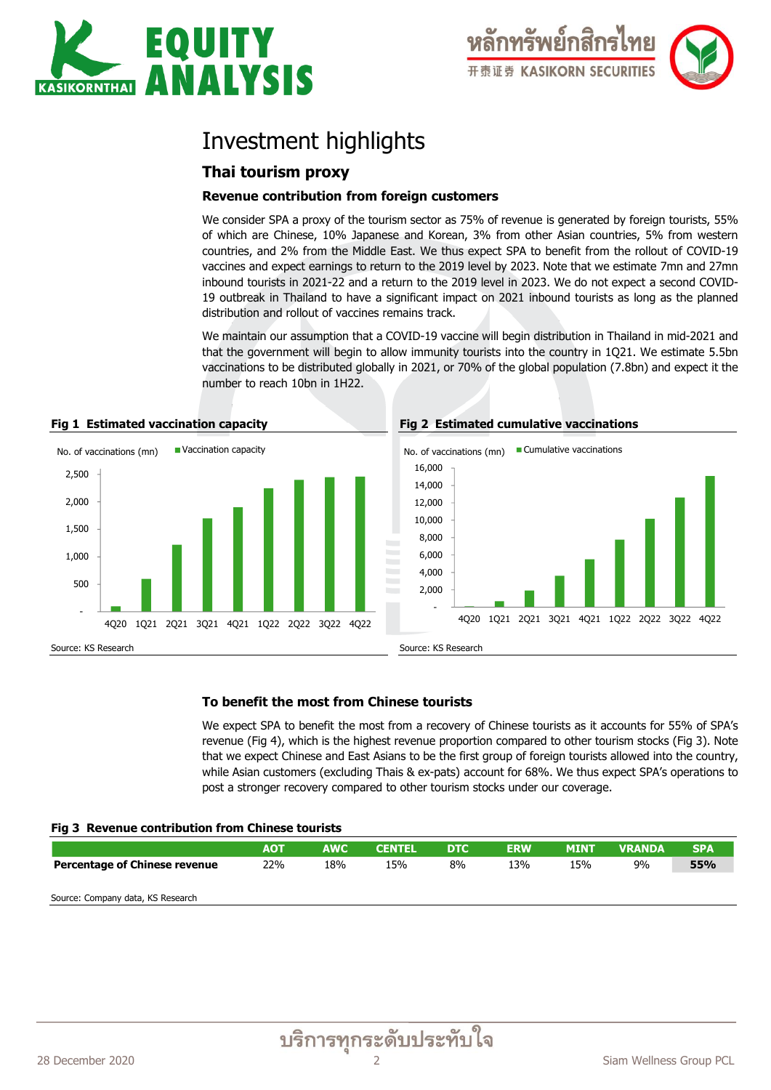

# Investment highlights

# **Thai tourism proxy**

### **Revenue contribution from foreign customers**

We consider SPA a proxy of the tourism sector as 75% of revenue is generated by foreign tourists, 55% of which are Chinese, 10% Japanese and Korean, 3% from other Asian countries, 5% from western countries, and 2% from the Middle East. We thus expect SPA to benefit from the rollout of COVID-19 vaccines and expect earnings to return to the 2019 level by 2023. Note that we estimate 7mn and 27mn inbound tourists in 2021-22 and a return to the 2019 level in 2023. We do not expect a second COVID-19 outbreak in Thailand to have a significant impact on 2021 inbound tourists as long as the planned distribution and rollout of vaccines remains track.

We maintain our assumption that a COVID-19 vaccine will begin distribution in Thailand in mid-2021 and that the government will begin to allow immunity tourists into the country in 1Q21. We estimate 5.5bn vaccinations to be distributed globally in 2021, or 70% of the global population (7.8bn) and expect it the number to reach 10bn in 1H22.







### **To benefit the most from Chinese tourists**

We expect SPA to benefit the most from a recovery of Chinese tourists as it accounts for 55% of SPA's revenue (Fig 4), which is the highest revenue proportion compared to other tourism stocks (Fig 3). Note that we expect Chinese and East Asians to be the first group of foreign tourists allowed into the country, while Asian customers (excluding Thais & ex-pats) account for 68%. We thus expect SPA's operations to post a stronger recovery compared to other tourism stocks under our coverage.

#### **Fig 3 Revenue contribution from Chinese tourists**

|                                      | <b>AOT</b> | <b>AWC</b> | <b>CENTEL</b> | <b>DTC</b> | <b>ERW</b> | <b>MINT</b> | <b>VRANDA</b> | <b>SPA</b> |
|--------------------------------------|------------|------------|---------------|------------|------------|-------------|---------------|------------|
| <b>Percentage of Chinese revenue</b> | 22%        | 18%        | 15%           | 8%         | 13%        | 15%         | 9%            | 55%        |
|                                      |            |            |               |            |            |             |               |            |

Source: Company data, KS Research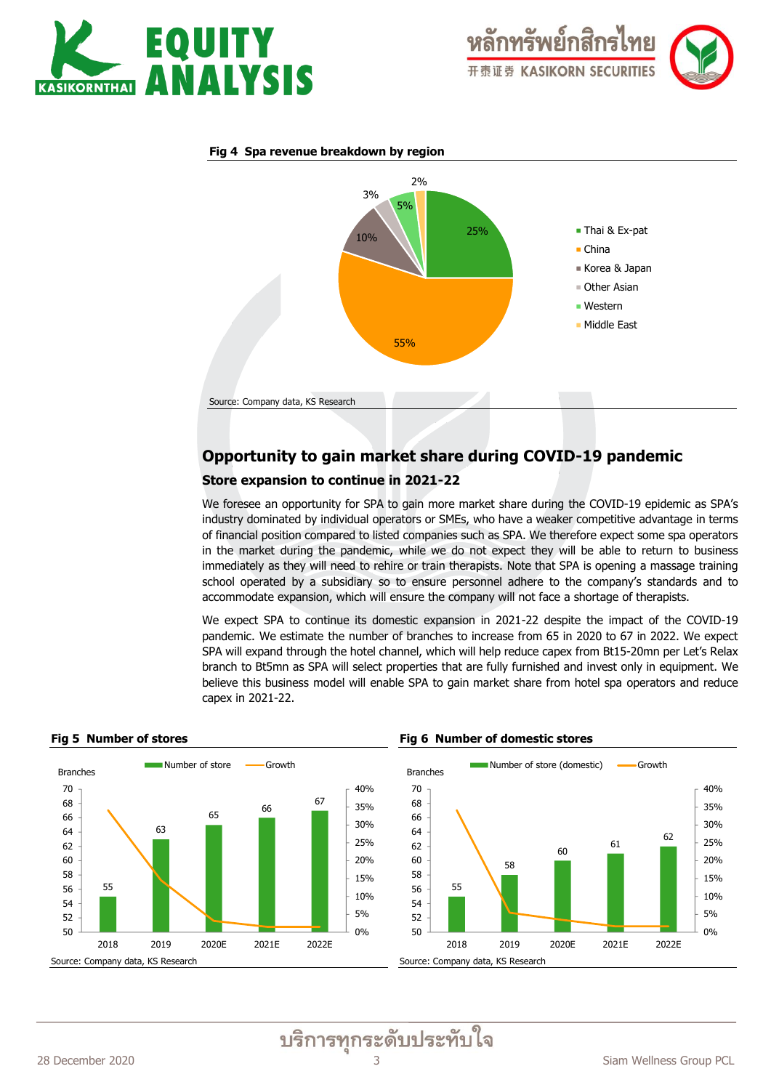



#### **Fig 4 Spa revenue breakdown by region**



# **Opportunity to gain market share during COVID-19 pandemic**

#### **Store expansion to continue in 2021-22**

We foresee an opportunity for SPA to gain more market share during the COVID-19 epidemic as SPA's industry dominated by individual operators or SMEs, who have a weaker competitive advantage in terms of financial position compared to listed companies such as SPA. We therefore expect some spa operators in the market during the pandemic, while we do not expect they will be able to return to business immediately as they will need to rehire or train therapists. Note that SPA is opening a massage training school operated by a subsidiary so to ensure personnel adhere to the company's standards and to accommodate expansion, which will ensure the company will not face a shortage of therapists.

We expect SPA to continue its domestic expansion in 2021-22 despite the impact of the COVID-19 pandemic. We estimate the number of branches to increase from 65 in 2020 to 67 in 2022. We expect SPA will expand through the hotel channel, which will help reduce capex from Bt15-20mn per Let's Relax branch to Bt5mn as SPA will select properties that are fully furnished and invest only in equipment. We believe this business model will enable SPA to gain market share from hotel spa operators and reduce capex in 2021-22.



#### **Fig 5 Number of stores Fig 6 Number of domestic stores**



บริการทุกระดับประทับใจ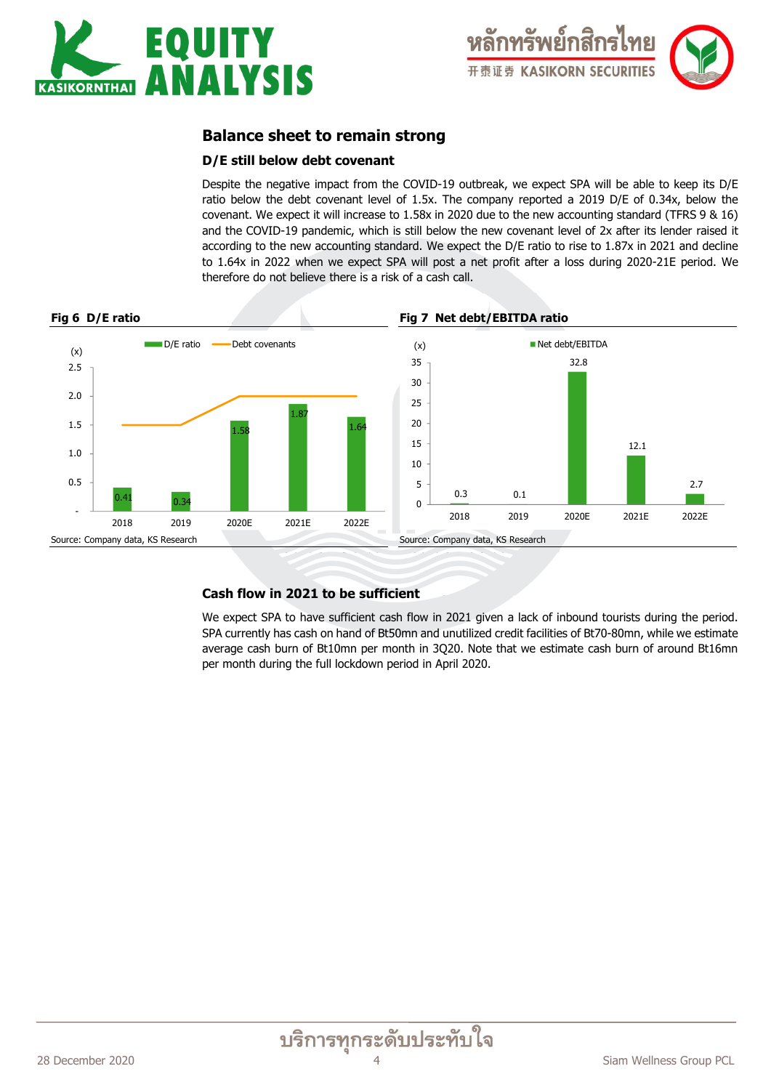



# **Balance sheet to remain strong**

### **D/E still below debt covenant**

Despite the negative impact from the COVID-19 outbreak, we expect SPA will be able to keep its D/E ratio below the debt covenant level of 1.5x. The company reported a 2019 D/E of 0.34x, below the covenant. We expect it will increase to 1.58x in 2020 due to the new accounting standard (TFRS 9 & 16) and the COVID-19 pandemic, which is still below the new covenant level of 2x after its lender raised it according to the new accounting standard. We expect the D/E ratio to rise to 1.87x in 2021 and decline to 1.64x in 2022 when we expect SPA will post a net profit after a loss during 2020-21E period. We therefore do not believe there is a risk of a cash call.



# **Cash flow in 2021 to be sufficient**

We expect SPA to have sufficient cash flow in 2021 given a lack of inbound tourists during the period. SPA currently has cash on hand of Bt50mn and unutilized credit facilities of Bt70-80mn, while we estimate average cash burn of Bt10mn per month in 3Q20. Note that we estimate cash burn of around Bt16mn per month during the full lockdown period in April 2020.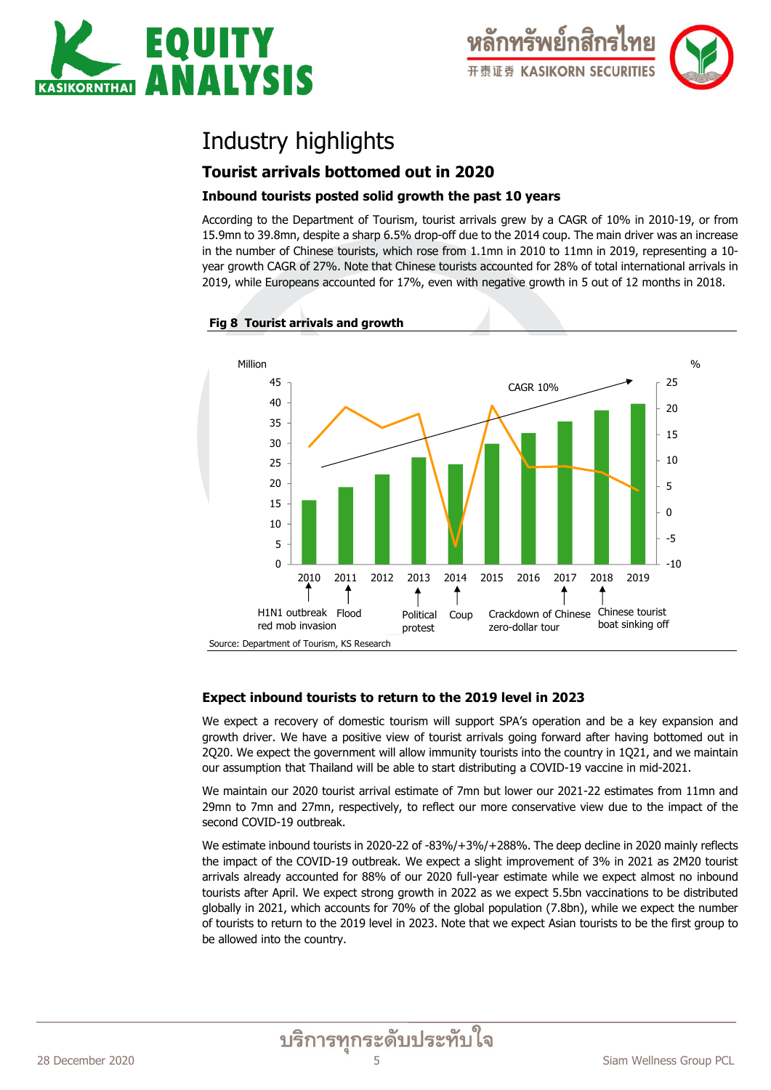

# Industry highlights

# **Tourist arrivals bottomed out in 2020**

# **Inbound tourists posted solid growth the past 10 years**

According to the Department of Tourism, tourist arrivals grew by a CAGR of 10% in 2010-19, or from 15.9mn to 39.8mn, despite a sharp 6.5% drop-off due to the 2014 coup. The main driver was an increase in the number of Chinese tourists, which rose from 1.1mn in 2010 to 11mn in 2019, representing a 10 year growth CAGR of 27%. Note that Chinese tourists accounted for 28% of total international arrivals in 2019, while Europeans accounted for 17%, even with negative growth in 5 out of 12 months in 2018.



# **Fig 8 Tourist arrivals and growth**

# **Expect inbound tourists to return to the 2019 level in 2023**

We expect a recovery of domestic tourism will support SPA's operation and be a key expansion and growth driver. We have a positive view of tourist arrivals going forward after having bottomed out in 2Q20. We expect the government will allow immunity tourists into the country in 1Q21, and we maintain our assumption that Thailand will be able to start distributing a COVID-19 vaccine in mid-2021.

We maintain our 2020 tourist arrival estimate of 7mn but lower our 2021-22 estimates from 11mn and 29mn to 7mn and 27mn, respectively, to reflect our more conservative view due to the impact of the second COVID-19 outbreak.

We estimate inbound tourists in 2020-22 of -83%/+3%/+288%. The deep decline in 2020 mainly reflects the impact of the COVID-19 outbreak. We expect a slight improvement of 3% in 2021 as 2M20 tourist arrivals already accounted for 88% of our 2020 full-year estimate while we expect almost no inbound tourists after April. We expect strong growth in 2022 as we expect 5.5bn vaccinations to be distributed globally in 2021, which accounts for 70% of the global population (7.8bn), while we expect the number of tourists to return to the 2019 level in 2023. Note that we expect Asian tourists to be the first group to be allowed into the country.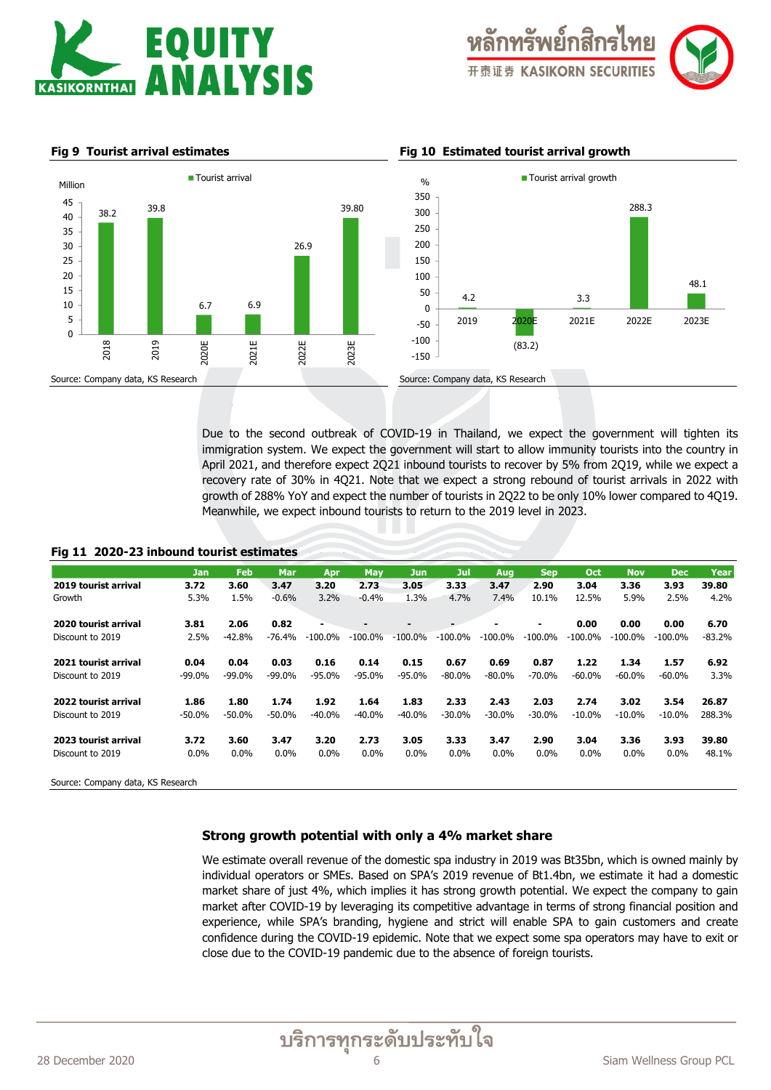





Due to the second outbreak of COVID-19 in Thailand, we expect the government will tighten its immigration system. We expect the government will start to allow immunity tourists into the country in April 2021, and therefore expect 2Q21 inbound tourists to recover by 5% from 2Q19, while we expect a recovery rate of 30% in 4Q21. Note that we expect a strong rebound of tourist arrivals in 2022 with growth of 288% YoY and expect the number of tourists in 2Q22 to be only 10% lower compared to 4Q19. Meanwhile, we expect inbound tourists to return to the 2019 level in 2023.

#### **Fig 11 2020-23 inbound tourist estimates**

|                      | <b>Jan</b> | <b>Feb</b> | <b>Mar</b> | Apr            | May        | <b>Jun</b> | Jul       | Aug            | <b>Sep</b> | Oct       | <b>Nov</b> | <b>Dec</b> | Year     |
|----------------------|------------|------------|------------|----------------|------------|------------|-----------|----------------|------------|-----------|------------|------------|----------|
| 2019 tourist arrival | 3.72       | 3.60       | 3.47       | 3.20           | 2.73       | 3.05       | 3.33      | 3.47           | 2.90       | 3.04      | 3.36       | 3.93       | 39.80    |
| Growth               | 5.3%       | 1.5%       | $-0.6%$    | 3.2%           | $-0.4%$    | 1.3%       | 4.7%      | 7.4%           | 10.1%      | 12.5%     | 5.9%       | 2.5%       | 4.2%     |
| 2020 tourist arrival | 3.81       | 2.06       | 0.82       | $\blacksquare$ |            |            |           | $\blacksquare$ | ٠          | 0.00      | 0.00       | 0.00       | 6.70     |
| Discount to 2019     | 2.5%       | $-42.8%$   | $-76.4%$   | $-100.0\%$     | $-100.0\%$ | $-100.0\%$ | $-100.0%$ | $-100.0%$      | $-100.0\%$ | $-100.0%$ | $-100.0%$  | $-100.0%$  | $-83.2%$ |
| 2021 tourist arrival | 0.04       | 0.04       | 0.03       | 0.16           | 0.14       | 0.15       | 0.67      | 0.69           | 0.87       | 1.22      | 1.34       | 1.57       | 6.92     |
| Discount to 2019     | $-99.0\%$  | $-99.0%$   | $-99.0\%$  | $-95.0%$       | $-95.0\%$  | $-95.0%$   | $-80.0%$  | $-80.0%$       | $-70.0%$   | $-60.0%$  | $-60.0%$   | $-60.0\%$  | 3.3%     |
| 2022 tourist arrival | 1.86       | 1.80       | 1.74       | 1.92           | 1.64       | 1.83       | 2.33      | 2.43           | 2.03       | 2.74      | 3.02       | 3.54       | 26.87    |
| Discount to 2019     | $-50.0\%$  | $-50.0%$   | $-50.0\%$  | $-40.0\%$      | $-40.0\%$  | $-40.0%$   | $-30.0%$  | $-30.0%$       | $-30.0%$   | $-10.0\%$ | $-10.0\%$  | $-10.0\%$  | 288.3%   |
| 2023 tourist arrival | 3.72       | 3.60       | 3.47       | 3.20           | 2.73       | 3.05       | 3.33      | 3.47           | 2.90       | 3.04      | 3.36       | 3.93       | 39.80    |
| Discount to 2019     | $0.0\%$    | $0.0\%$    | 0.0%       | $0.0\%$        | $0.0\%$    | $0.0\%$    | 0.0%      | $0.0\%$        | 0.0%       | 0.0%      | $0.0\%$    | $0.0\%$    | 48.1%    |
|                      |            |            |            |                |            |            |           |                |            |           |            |            |          |

Source: Company data, KS Research

#### **Strong growth potential with only a 4% market share**

We estimate overall revenue of the domestic spa industry in 2019 was Bt35bn, which is owned mainly by individual operators or SMEs. Based on SPA's 2019 revenue of Bt1.4bn, we estimate it had a domestic market share of just 4%, which implies it has strong growth potential. We expect the company to gain market after COVID-19 by leveraging its competitive advantage in terms of strong financial position and experience, while SPA's branding, hygiene and strict will enable SPA to gain customers and create confidence during the COVID-19 epidemic. Note that we expect some spa operators may have to exit or close due to the COVID-19 pandemic due to the absence of foreign tourists.

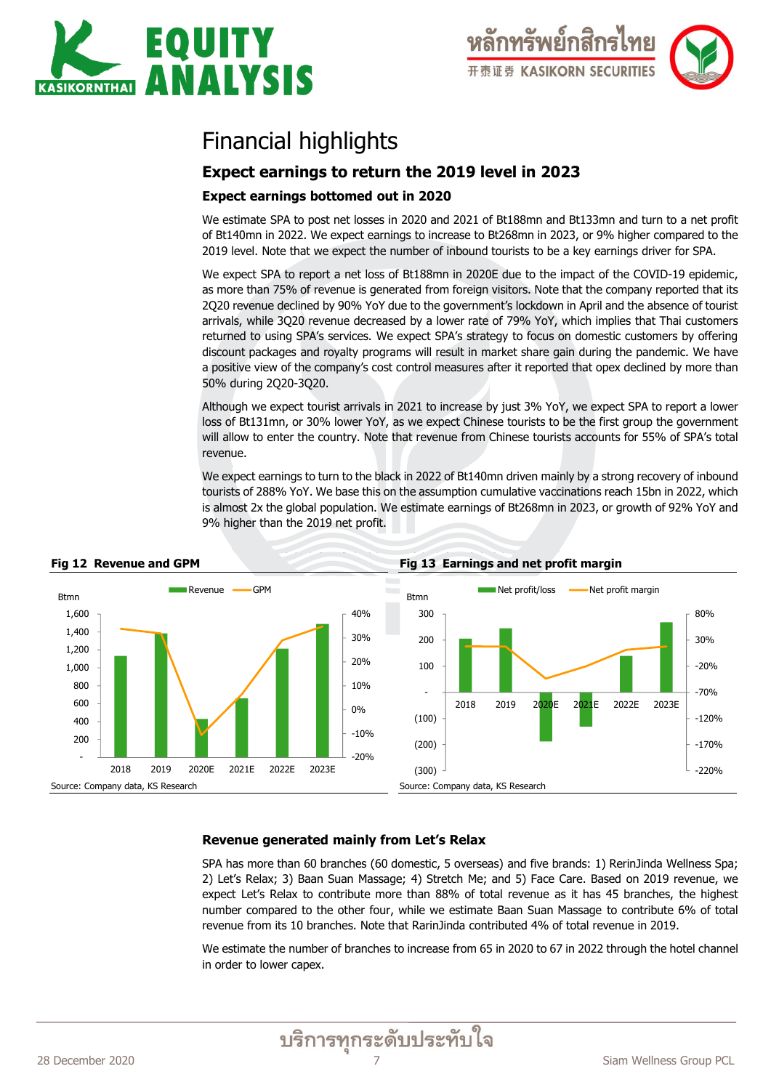

# Financial highlights

# **Expect earnings to return the 2019 level in 2023**

### **Expect earnings bottomed out in 2020**

We estimate SPA to post net losses in 2020 and 2021 of Bt188mn and Bt133mn and turn to a net profit of Bt140mn in 2022. We expect earnings to increase to Bt268mn in 2023, or 9% higher compared to the 2019 level. Note that we expect the number of inbound tourists to be a key earnings driver for SPA.

We expect SPA to report a net loss of Bt188mn in 2020E due to the impact of the COVID-19 epidemic, as more than 75% of revenue is generated from foreign visitors. Note that the company reported that its 2Q20 revenue declined by 90% YoY due to the government's lockdown in April and the absence of tourist arrivals, while 3Q20 revenue decreased by a lower rate of 79% YoY, which implies that Thai customers returned to using SPA's services. We expect SPA's strategy to focus on domestic customers by offering discount packages and royalty programs will result in market share gain during the pandemic. We have a positive view of the company's cost control measures after it reported that opex declined by more than 50% during 2Q20-3Q20.

Although we expect tourist arrivals in 2021 to increase by just 3% YoY, we expect SPA to report a lower loss of Bt131mn, or 30% lower YoY, as we expect Chinese tourists to be the first group the government will allow to enter the country. Note that revenue from Chinese tourists accounts for 55% of SPA's total revenue.

We expect earnings to turn to the black in 2022 of Bt140mn driven mainly by a strong recovery of inbound tourists of 288% YoY. We base this on the assumption cumulative vaccinations reach 15bn in 2022, which is almost 2x the global population. We estimate earnings of Bt268mn in 2023, or growth of 92% YoY and 9% higher than the 2019 net profit.



### **Revenue generated mainly from Let's Relax**

SPA has more than 60 branches (60 domestic, 5 overseas) and five brands: 1) RerinJinda Wellness Spa; 2) Let's Relax; 3) Baan Suan Massage; 4) Stretch Me; and 5) Face Care. Based on 2019 revenue, we expect Let's Relax to contribute more than 88% of total revenue as it has 45 branches, the highest number compared to the other four, while we estimate Baan Suan Massage to contribute 6% of total revenue from its 10 branches. Note that RarinJinda contributed 4% of total revenue in 2019.

We estimate the number of branches to increase from 65 in 2020 to 67 in 2022 through the hotel channel in order to lower capex.

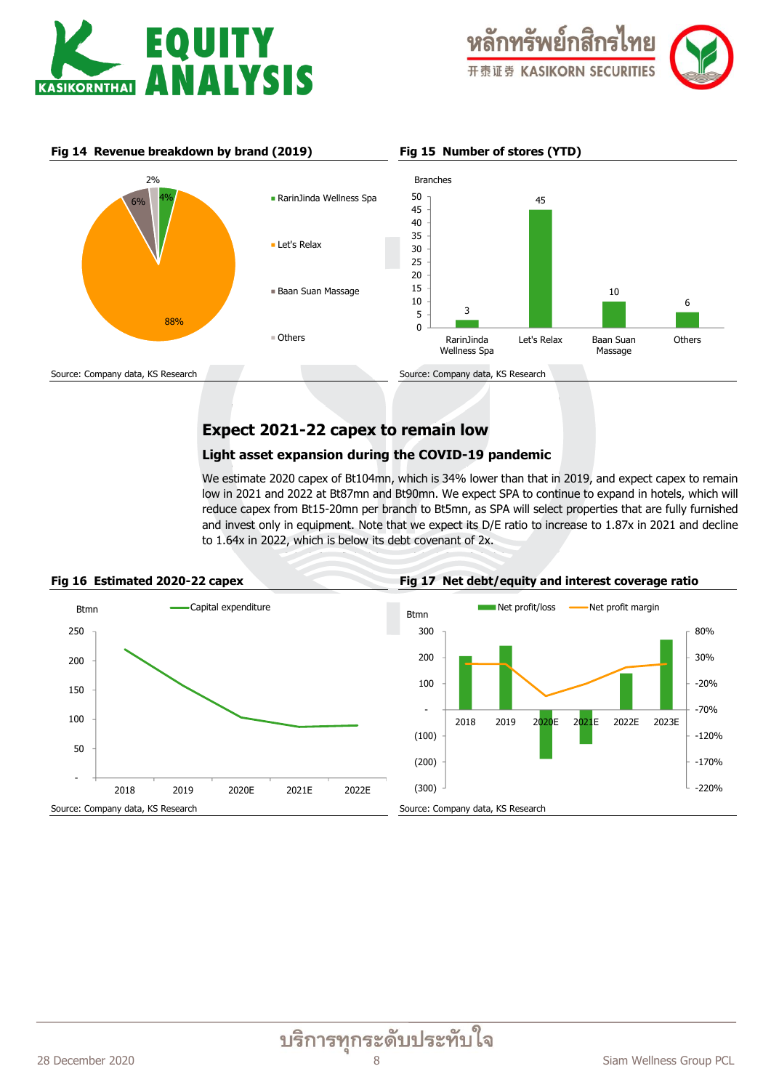



**Fig 14 Revenue breakdown by brand (2019) Fig 15 Number of stores (YTD)**



# **Expect 2021-22 capex to remain low**

#### **Light asset expansion during the COVID-19 pandemic**

We estimate 2020 capex of Bt104mn, which is 34% lower than that in 2019, and expect capex to remain low in 2021 and 2022 at Bt87mn and Bt90mn. We expect SPA to continue to expand in hotels, which will reduce capex from Bt15-20mn per branch to Bt5mn, as SPA will select properties that are fully furnished and invest only in equipment. Note that we expect its D/E ratio to increase to 1.87x in 2021 and decline to 1.64x in 2022, which is below its debt covenant of 2x.

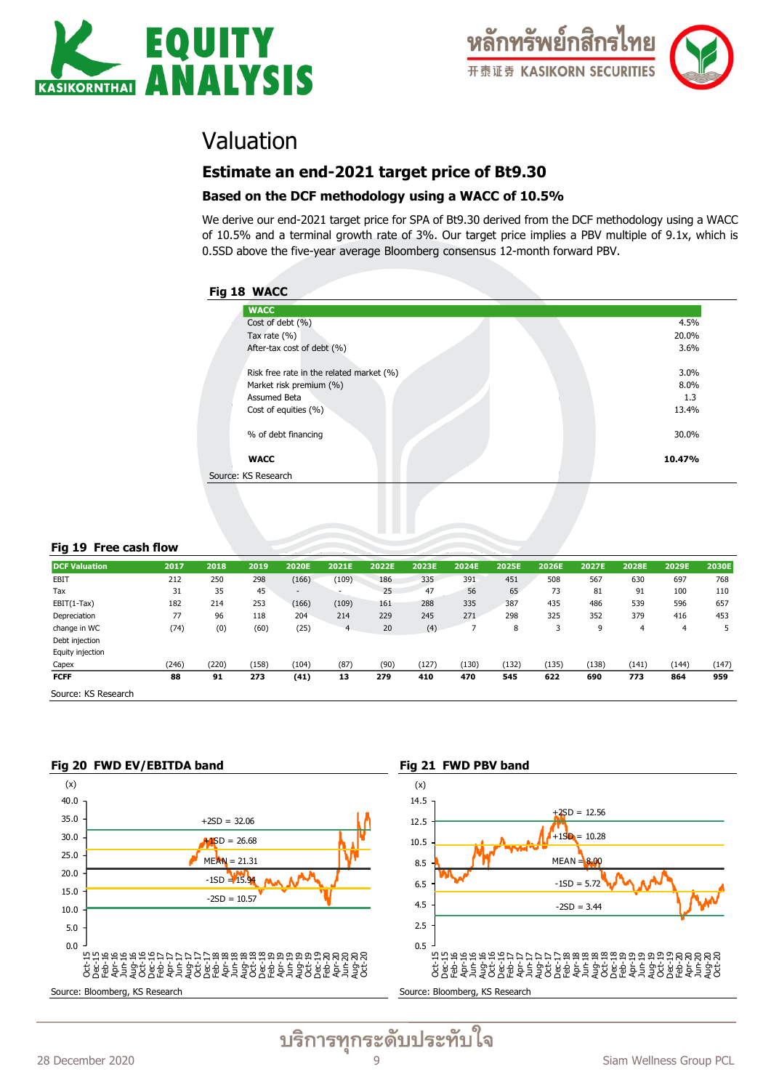



# Valuation

# **Estimate an end-2021 target price of Bt9.30**

### **Based on the DCF methodology using a WACC of 10.5%**

We derive our end-2021 target price for SPA of Bt9.30 derived from the DCF methodology using a WACC of 10.5% and a terminal growth rate of 3%. Our target price implies a PBV multiple of 9.1x, which is 0.5SD above the five-year average Bloomberg consensus 12-month forward PBV.

# **Fig 18 WACC**

| ້                                        |        |
|------------------------------------------|--------|
| <b>WACC</b>                              |        |
| Cost of debt $(\% )$                     | 4.5%   |
| Tax rate $(% )$                          | 20.0%  |
| After-tax cost of debt (%)               | 3.6%   |
|                                          |        |
| Risk free rate in the related market (%) | 3.0%   |
| Market risk premium (%)                  | 8.0%   |
| Assumed Beta                             | 1.3    |
| Cost of equities $(\% )$                 | 13.4%  |
|                                          |        |
| % of debt financing                      | 30.0%  |
|                                          |        |
| <b>WACC</b>                              | 10.47% |
| Source: KS Research                      |        |
|                                          |        |
|                                          |        |

#### **Fig 19 Free cash flow**

| <b>DCF Valuation</b> | 2017  | 2018  | 2019  | 2020E  | 2021E | 2022E | 2023E | 2024E | 2025E | 2026E | 2027E | 2028E | 2029E | 2030E |
|----------------------|-------|-------|-------|--------|-------|-------|-------|-------|-------|-------|-------|-------|-------|-------|
| EBIT                 | 212   | 250   | 298   | (166)  | (109) | 186   | 335   | 391   | 451   | 508   | 567   | 630   | 697   | 768   |
| Tax                  | 31    | 35    | 45    | $\sim$ |       | 25    | 47    | 56    | 65    | 73    | 81    | 91    | 100   | 110   |
| $EBIT(1-Tax)$        | 182   | 214   | 253   | (166)  | (109) | 161   | 288   | 335   | 387   | 435   | 486   | 539   | 596   | 657   |
| Depreciation         | 77    | 96    | 118   | 204    | 214   | 229   | 245   | 271   | 298   | 325   | 352   | 379   | 416   | 453   |
| change in WC         | (74)  | (0)   | (60)  | (25)   | 4     | 20    | (4)   |       | 8     | っ     | 9     | 4     | 4     | 5     |
| Debt injection       |       |       |       |        |       |       |       |       |       |       |       |       |       |       |
| Equity injection     |       |       |       |        |       |       |       |       |       |       |       |       |       |       |
| Capex                | (246) | (220) | (158) | (104)  | (87)  | (90)  | (127) | (130) | (132) | (135) | (138) | (141) | (144) | (147) |
| <b>FCFF</b>          | 88    | 91    | 273   | (41)   | 13    | 279   | 410   | 470   | 545   | 622   | 690   | 773   | 864   | 959   |
| Source: KS Research  |       |       |       |        |       |       |       |       |       |       |       |       |       |       |









บริการทุกระดับประทับใจ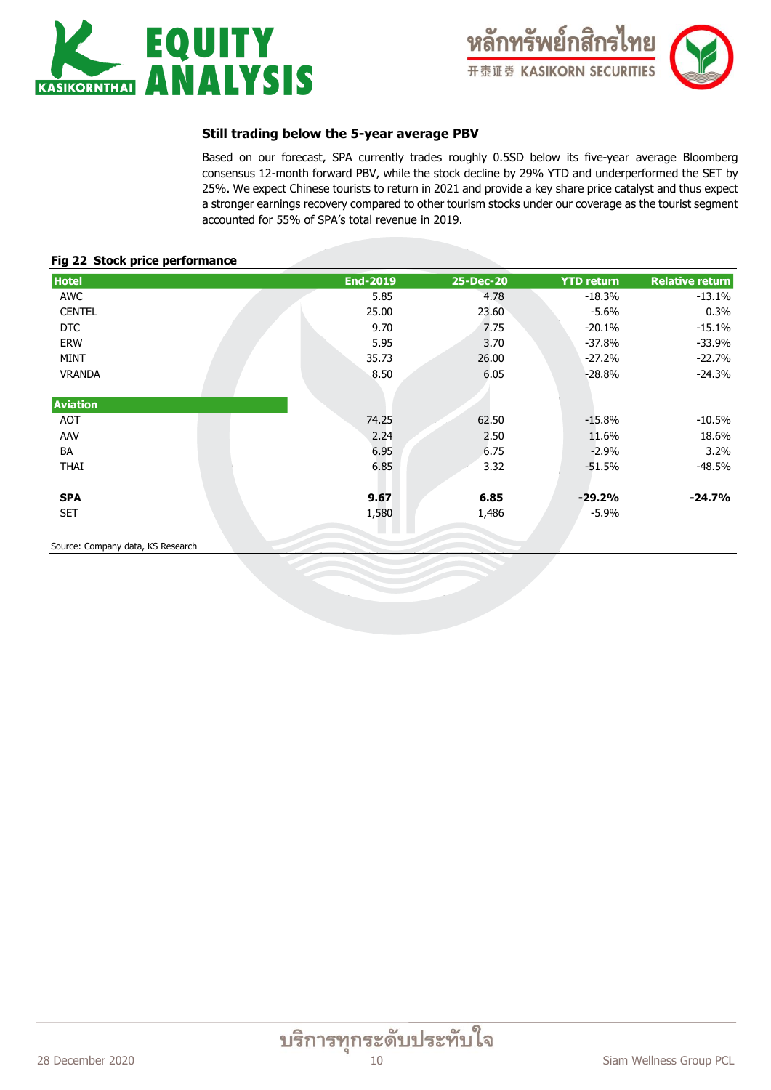



### **Still trading below the 5-year average PBV**

Based on our forecast, SPA currently trades roughly 0.5SD below its five-year average Bloomberg consensus 12-month forward PBV, while the stock decline by 29% YTD and underperformed the SET by 25%. We expect Chinese tourists to return in 2021 and provide a key share price catalyst and thus expect a stronger earnings recovery compared to other tourism stocks under our coverage as the tourist segment accounted for 55% of SPA's total revenue in 2019.

#### **Fig 22 Stock price performance**

| <b>Hotel</b>    | <b>End-2019</b> | 25-Dec-20 | <b>YTD return</b> | <b>Relative return</b> |
|-----------------|-----------------|-----------|-------------------|------------------------|
| AWC             | 5.85            | 4.78      | $-18.3%$          | $-13.1%$               |
| <b>CENTEL</b>   | 25.00           | 23.60     | $-5.6\%$          | 0.3%                   |
| <b>DTC</b>      | 9.70            | 7.75      | $-20.1%$          | $-15.1%$               |
| ERW             | 5.95            | 3.70      | $-37.8%$          | $-33.9%$               |
| <b>MINT</b>     | 35.73           | 26.00     | $-27.2%$          | $-22.7%$               |
| <b>VRANDA</b>   | 8.50            | 6.05      | $-28.8%$          | $-24.3%$               |
| <b>Aviation</b> |                 |           |                   |                        |
| AOT             | 74.25           | 62.50     | $-15.8%$          | $-10.5%$               |
| AAV             | 2.24            | 2.50      | 11.6%             | 18.6%                  |
| BA              | 6.95            | 6.75      | $-2.9%$           | 3.2%                   |
| <b>THAI</b>     | 6.85            | 3.32      | $-51.5%$          | $-48.5%$               |
| <b>SPA</b>      | 9.67            | 6.85      | $-29.2%$          | $-24.7%$               |
| <b>SET</b>      | 1,580           | 1,486     | $-5.9\%$          |                        |

Source: Company data, KS Research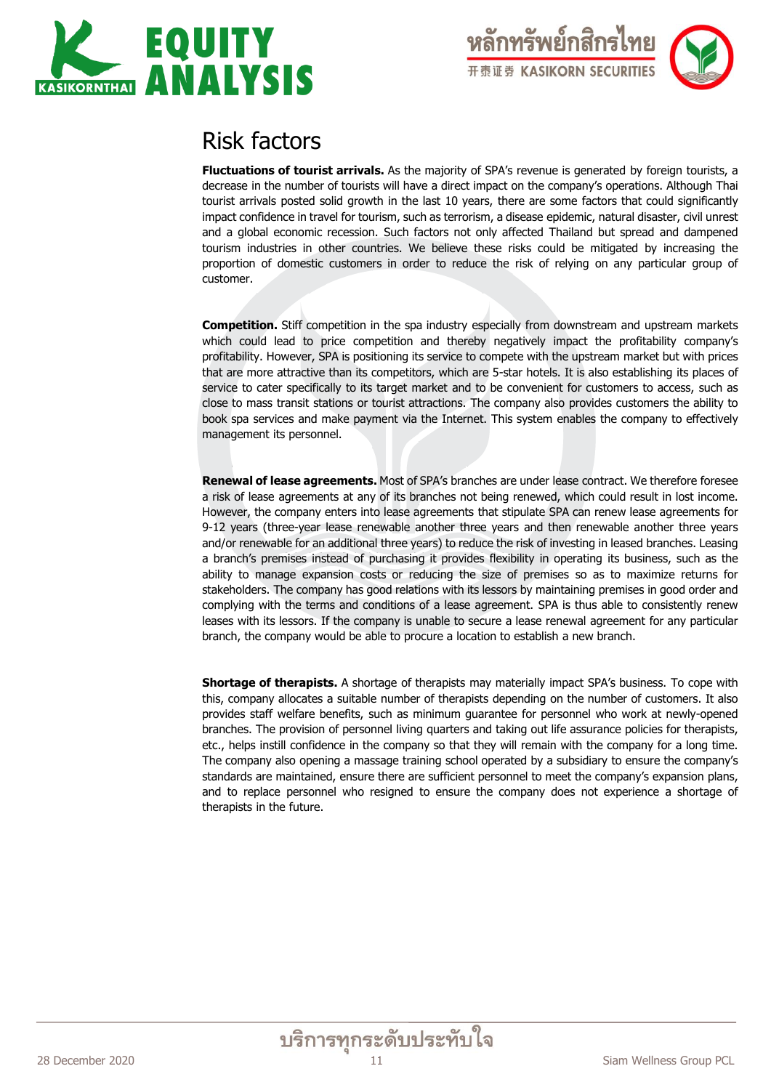



# Risk factors

**Fluctuations of tourist arrivals.** As the majority of SPA's revenue is generated by foreign tourists, a decrease in the number of tourists will have a direct impact on the company's operations. Although Thai tourist arrivals posted solid growth in the last 10 years, there are some factors that could significantly impact confidence in travel for tourism, such as terrorism, a disease epidemic, natural disaster, civil unrest and a global economic recession. Such factors not only affected Thailand but spread and dampened tourism industries in other countries. We believe these risks could be mitigated by increasing the proportion of domestic customers in order to reduce the risk of relying on any particular group of customer.

**Competition.** Stiff competition in the spa industry especially from downstream and upstream markets which could lead to price competition and thereby negatively impact the profitability company's profitability. However, SPA is positioning its service to compete with the upstream market but with prices that are more attractive than its competitors, which are 5-star hotels. It is also establishing its places of service to cater specifically to its target market and to be convenient for customers to access, such as close to mass transit stations or tourist attractions. The company also provides customers the ability to book spa services and make payment via the Internet. This system enables the company to effectively management its personnel.

**Renewal of lease agreements.** Most of SPA's branches are under lease contract. We therefore foresee a risk of lease agreements at any of its branches not being renewed, which could result in lost income. However, the company enters into lease agreements that stipulate SPA can renew lease agreements for 9-12 years (three-year lease renewable another three years and then renewable another three years and/or renewable for an additional three years) to reduce the risk of investing in leased branches. Leasing a branch's premises instead of purchasing it provides flexibility in operating its business, such as the ability to manage expansion costs or reducing the size of premises so as to maximize returns for stakeholders. The company has good relations with its lessors by maintaining premises in good order and complying with the terms and conditions of a lease agreement. SPA is thus able to consistently renew leases with its lessors. If the company is unable to secure a lease renewal agreement for any particular branch, the company would be able to procure a location to establish a new branch.

**Shortage of therapists.** A shortage of therapists may materially impact SPA's business. To cope with this, company allocates a suitable number of therapists depending on the number of customers. It also provides staff welfare benefits, such as minimum guarantee for personnel who work at newly-opened branches. The provision of personnel living quarters and taking out life assurance policies for therapists, etc., helps instill confidence in the company so that they will remain with the company for a long time. The company also opening a massage training school operated by a subsidiary to ensure the company's standards are maintained, ensure there are sufficient personnel to meet the company's expansion plans, and to replace personnel who resigned to ensure the company does not experience a shortage of therapists in the future.

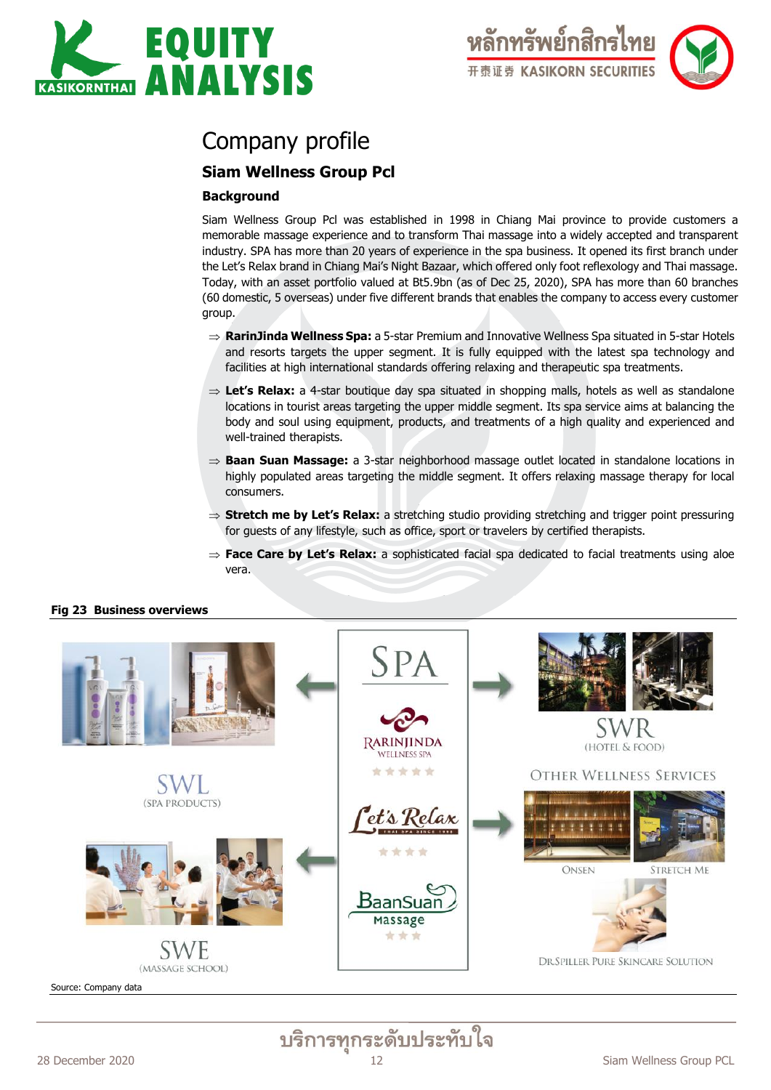



# Company profile

# **Siam Wellness Group Pcl**

### **Background**

Siam Wellness Group Pcl was established in 1998 in Chiang Mai province to provide customers a memorable massage experience and to transform Thai massage into a widely accepted and transparent industry. SPA has more than 20 years of experience in the spa business. It opened its first branch under the Let's Relax brand in Chiang Mai's Night Bazaar, which offered only foot reflexology and Thai massage. Today, with an asset portfolio valued at Bt5.9bn (as of Dec 25, 2020), SPA has more than 60 branches (60 domestic, 5 overseas) under five different brands that enables the company to access every customer group.

- $\Rightarrow$  **RarinJinda Wellness Spa:** a 5-star Premium and Innovative Wellness Spa situated in 5-star Hotels and resorts targets the upper segment. It is fully equipped with the latest spa technology and facilities at high international standards offering relaxing and therapeutic spa treatments.
- $\Rightarrow$  **Let's Relax**: a 4-star boutique day spa situated in shopping malls, hotels as well as standalone locations in tourist areas targeting the upper middle segment. Its spa service aims at balancing the body and soul using equipment, products, and treatments of a high quality and experienced and well-trained therapists.
- ⇒ **Baan Suan Massage:** a 3-star neighborhood massage outlet located in standalone locations in highly populated areas targeting the middle segment. It offers relaxing massage therapy for local consumers.
- $\Rightarrow$  **Stretch me by Let's Relax:** a stretching studio providing stretching and trigger point pressuring for guests of any lifestyle, such as office, sport or travelers by certified therapists.
- $\Rightarrow$  **Face Care by Let's Relax**: a sophisticated facial spa dedicated to facial treatments using aloe vera.



#### **Fig 23 Business overviews**

Source: Company data

บริการทุกระดับประทับใจ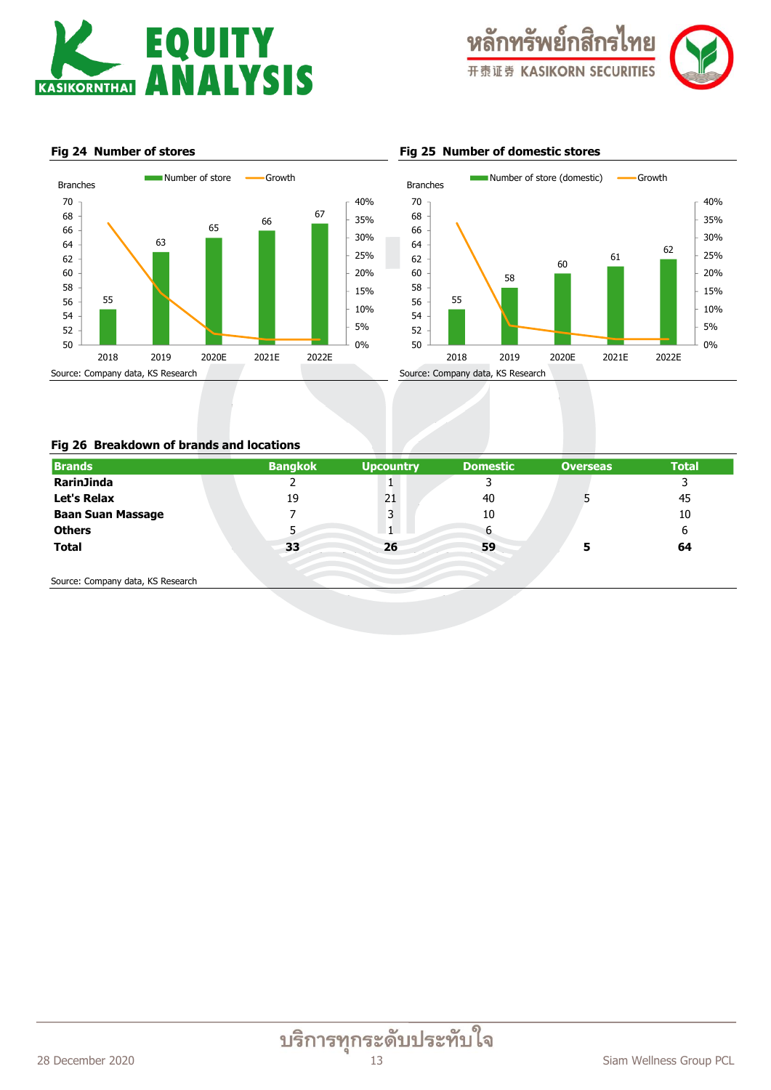



35% 40%

#### **Fig 24 Number of stores Fig 25 Number of domestic stores**



#### 61 62 30% 64 66 68 70 Branches Number of store (domestic) - Growth



#### **Fig 26 Breakdown of brands and locations**

| <b>Brands</b>                                                                                                   | <b>Bangkok</b> | <b>Upcountry</b> | <b>Domestic</b> | <b>Overseas</b> | <b>Total</b> |
|-----------------------------------------------------------------------------------------------------------------|----------------|------------------|-----------------|-----------------|--------------|
| RarinJinda                                                                                                      | ے              |                  |                 |                 |              |
| Let's Relax                                                                                                     | 19             | 21               | 40              |                 | 45           |
| <b>Baan Suan Massage</b>                                                                                        |                | 3                | 10              |                 | 10           |
| <b>Others</b>                                                                                                   |                |                  | 6               |                 | 6            |
| <b>Total</b>                                                                                                    | 33             | 26               | 59              | 5               | 64           |
|                                                                                                                 |                |                  |                 |                 |              |
| the contract of the contract of the contract of the contract of the contract of the contract of the contract of |                |                  |                 |                 |              |

Source: Company data, KS Research

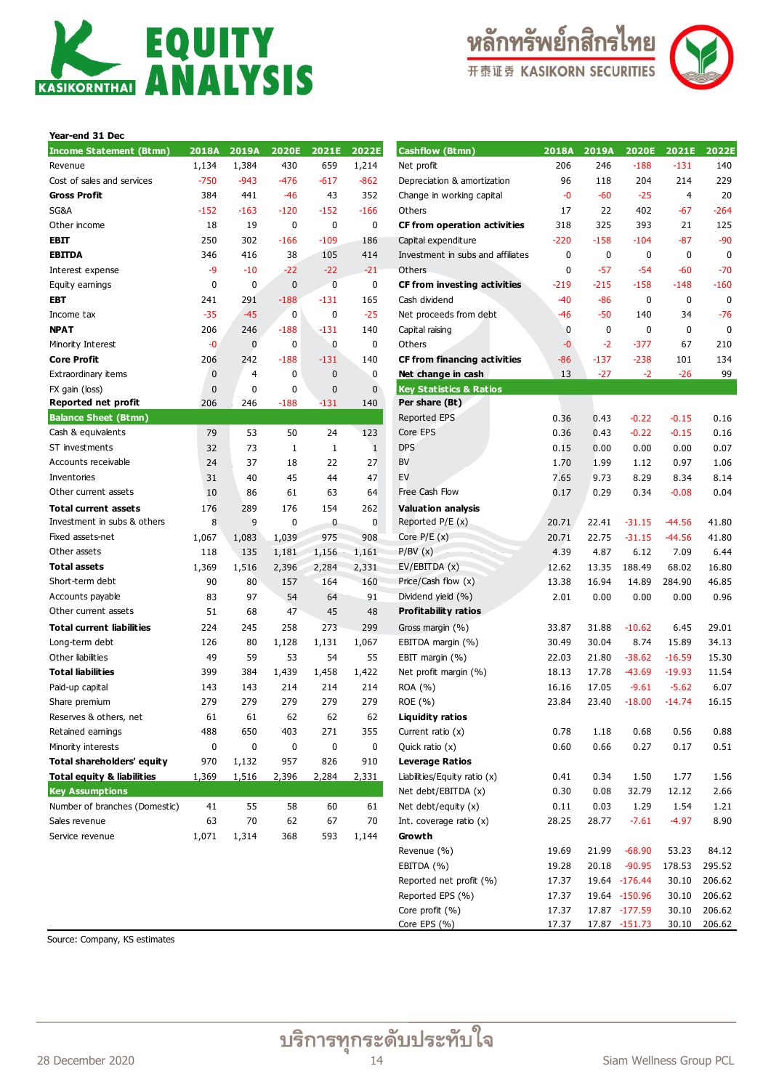





| Year-end 31 Dec                       |        |        |              |        |              |                                    |
|---------------------------------------|--------|--------|--------------|--------|--------------|------------------------------------|
| Income Statement (Btmn)               | 2018A  | 2019A  | 2020E        | 2021E  | 2022E        | <b>Cashflow (Btmn)</b>             |
| Revenue                               | 1,134  | 1,384  | 430          | 659    | 1,214        | Net profit                         |
| Cost of sales and services            | $-750$ | $-943$ | $-476$       | $-617$ | $-862$       | Depreciation & amortizatio         |
| Gross Profit                          | 384    | 441    | -46          | 43     | 352          | Change in working capital          |
| SG&A                                  | $-152$ | $-163$ | $-120$       | $-152$ | $-166$       | Others                             |
| Other income                          | 18     | 19     | 0            | 0      | 0            | CF from operation activ            |
| EBIT                                  | 250    | 302    | $-166$       | $-109$ | 186          | Capital expenditure                |
| EBITDA                                | 346    | 416    | 38           | 105    | 414          | Investment in subs and a           |
| Interest expense                      | -9     | $-10$  | $-22$        | $-22$  | $-21$        | Others                             |
| Equity earnings                       | 0      | 0      | 0            | 0      | 0            | CF from investing activ            |
| EBT                                   | 241    | 291    | $-188$       | $-131$ | 165          | Cash dividend                      |
| Income tax                            | $-35$  | $-45$  | 0            | 0      | $-25$        | Net proceeds from debt             |
| <b>NPAT</b>                           | 206    | 246    | $-188$       | $-131$ | 140          | Capital raising                    |
| Minority Interest                     | -0     | 0      | 0            | 0      | 0            | Others                             |
| Core Profit                           | 206    | 242    | $-188$       | $-131$ | 140          | <b>CF from financing activ</b>     |
| Extraordinary items                   | 0      | 4      | 0            | 0      | 0            | Net change in cash                 |
| FX gain (loss)                        | 0      | 0      | 0            | 0      | 0            | <b>Key Statistics &amp; Ratios</b> |
| Reported net profit                   | 206    | 246    | $-188$       | $-131$ | 140          | Per share (Bt)                     |
| <b>Balance Sheet (Btmn)</b>           |        |        |              |        |              | <b>Reported EPS</b>                |
| Cash & equivalents                    | 79     | 53     | 50           | 24     | 123          | Core EPS                           |
| ST investments                        | 32     | 73     | $\mathbf{1}$ | 1      | $\mathbf{1}$ | <b>DPS</b>                         |
| Accounts receivable                   | 24     | 37     | 18           | 22     | 27           | BV                                 |
| Inventories                           | 31     | 40     | 45           | 44     | 47           | EV                                 |
| Other current assets                  | 10     | 86     | 61           | 63     | 64           | Free Cash Flow                     |
| Total current assets                  | 176    | 289    | 176          | 154    | 262          | <b>Valuation analysis</b>          |
| Investment in subs & others           | 8      | 9      | 0            | 0      | 0            | Reported P/E (x)                   |
| Fixed assets-net                      | 1,067  | 1,083  | 1,039        | 975    | 908          | Core $P/E(x)$                      |
| Other assets                          | 118    | 135    | 1,181        | 1,156  | 1,161        | P/BV(x)                            |
| Total assets                          | 1,369  | 1,516  | 2,396        | 2,284  | 2,331        | EV/EBITDA (x)                      |
| Short-term debt                       | 90     | 80     | 157          | 164    | 160          | Price/Cash flow (x)                |
| Accounts payable                      | 83     | 97     | 54           | 64     | 91           | Dividend yield (%)                 |
| Other current assets                  | 51     | 68     | 47           | 45     | 48           | <b>Profitability ratios</b>        |
| Total current liabilities             | 224    | 245    | 258          | 273    | 299          | Gross margin (%)                   |
| Long-term debt                        | 126    | 80     | 1,128        | 1,131  | 1,067        | EBITDA margin (%)                  |
| Other liabilities                     | 49     | 59     | 53           | 54     | 55           | EBIT margin (%)                    |
| Total liabilities                     | 399    | 384    | 1,439        | 1,458  | 1,422        | Net profit margin (%)              |
| Paid-up capital                       | 143    | 143    | 214          | 214    | 214          | ROA (%)                            |
| Share premium                         | 279    | 279    | 279          | 279    | 279          | ROE (%)                            |
| Reserves & others, net                | 61     | 61     | 62           | 62     | 62           | <b>Liquidity ratios</b>            |
| Retained earnings                     | 488    | 650    | 403          | 271    | 355          | Current ratio $(x)$                |
| Minority interests                    | 0      | 0      | 0            | 0      | 0            | Quick ratio (x)                    |
| Total shareholders' equity            | 970    | 1,132  | 957          | 826    | 910          | <b>Leverage Ratios</b>             |
| <b>Total equity &amp; liabilities</b> | 1,369  | 1,516  | 2,396        | 2,284  | 2,331        | Liabilities/Equity ratio (x)       |
| <b>Key Assumptions</b>                |        |        |              |        |              | Net debt/EBITDA (x)                |
| Number of branches (Domestic)         | 41     | 55     | 58           | 60     | 61           | Net debt/equity $(x)$              |
| Sales revenue                         | 63     | 70     | 62           | 67     | 70           | Int. coverage ratio $(x)$          |
| Service revenue                       | 1,071  | 1,314  | 368          | 593    | 1,144        | Growth<br>Downin (0/2)             |
|                                       |        |        |              |        |              |                                    |

| <b>Income Statement (Btmn)</b>        | 2018A    | 2019A          | 2020E     | 2021E     | 2022E        | <b>Cashflow (Btmn)</b>              | 2018A  | 2019A  | 2020E         | 2021E          | 2022E       |
|---------------------------------------|----------|----------------|-----------|-----------|--------------|-------------------------------------|--------|--------|---------------|----------------|-------------|
| Revenue                               | 1,134    | 1,384          | 430       | 659       | 1,214        | Net profit                          | 206    | 246    | $-188$        | $-131$         | 140         |
| Cost of sales and services            | $-750$   | $-943$         | $-476$    | $-617$    | $-862$       | Depreciation & amortization         | 96     | 118    | 204           | 214            | 229         |
| Gross Profit                          | 384      | 441            | $-46$     | 43        | 352          | Change in working capital           | -0     | $-60$  | $-25$         | $\overline{4}$ | 20          |
| SG&A                                  | $-152$   | $-163$         | $-120$    | $-152$    | $-166$       | Others                              | 17     | 22     | 402           | $-67$          | $-264$      |
| Other income                          | 18       | 19             | 0         | 0         | 0            | <b>CF from operation activities</b> | 318    | 325    | 393           | 21             | 125         |
| EBIT                                  | 250      | 302            | $-166$    | $-109$    | 186          | Capital expenditure                 | $-220$ | $-158$ | $-104$        | $-87$          | $-90$       |
| EBITDA                                | 346      | 416            | 38        | 105       | 414          | Investment in subs and affiliates   | 0      | 0      | 0             | $\mathbf 0$    | $\mathbf 0$ |
| Interest expense                      | -9       | $-10$          | $-22$     | $-22$     | $-21$        | Others                              | 0      | $-57$  | $-54$         | $-60$          | $-70$       |
| Equity earnings                       | 0        | 0              | $\bf{0}$  | 0         | 0            | CF from investing activities        | $-219$ | $-215$ | $-158$        | $-148$         | $-160$      |
| EBT                                   | 241      | 291            | $-188$    | $-131$    | 165          | Cash dividend                       | $-40$  | $-86$  | 0             | $\mathbf 0$    | $\mathbf 0$ |
| Income tax                            | $-35$    | $-45$          | $\pmb{0}$ | 0         | $-25$        | Net proceeds from debt              | -46    | $-50$  | 140           | 34             | $-76$       |
| NPAT                                  | 206      | 246            | $-188$    | $-131$    | 140          | Capital raising                     | 0      | 0      | 0             | 0              | $\mathbf 0$ |
| Minority Interest                     | $-0$     | $\bf{0}$       | $\bf{0}$  | $\pmb{0}$ | $\bf{0}$     | Others                              | -0     | $-2$   | $-377$        | 67             | 210         |
| Core Profit                           | 206      | 242            | $-188$    | $-131$    | 140          | <b>CF from financing activities</b> | $-86$  | $-137$ | $-238$        | 101            | 134         |
| Extraordinary items                   | 0        | $\overline{4}$ | 0         | 0         | 0            | Net change in cash                  | 13     | $-27$  | $-2$          | $-26$          | 99          |
| FX gain (loss)                        | $\bf{0}$ | 0              | 0         | 0         | $\mathbf 0$  | <b>Key Statistics &amp; Ratios</b>  |        |        |               |                |             |
| Reported net profit                   | 206      | 246            | $-188$    | -131      | 140          | Per share (Bt)                      |        |        |               |                |             |
| <b>Balance Sheet (Btmn)</b>           |          |                |           |           |              | Reported EPS                        | 0.36   | 0.43   | $-0.22$       | $-0.15$        | 0.16        |
| Cash & equivalents                    | 79       | 53             | 50        | 24        | 123          | Core EPS                            | 0.36   | 0.43   | $-0.22$       | $-0.15$        | 0.16        |
| ST investments                        | 32       | 73             | 1         | 1         | $\mathbf{1}$ | <b>DPS</b>                          | 0.15   | 0.00   | 0.00          | 0.00           | 0.07        |
| Accounts receivable                   | 24       | 37             | 18        | 22        | 27           | BV                                  | 1.70   | 1.99   | 1.12          | 0.97           | 1.06        |
| Inventories                           | 31       | 40             | 45        | 44        | 47           | EV                                  | 7.65   | 9.73   | 8.29          | 8.34           | 8.14        |
| Other current assets                  | 10       | 86             | 61        | 63        | 64           | Free Cash Flow                      | 0.17   | 0.29   | 0.34          | $-0.08$        | 0.04        |
| Total current assets                  | 176      | 289            | 176       | 154       | 262          | <b>Valuation analysis</b>           |        |        |               |                |             |
| Investment in subs & others           | 8        | 9              | $\bf{0}$  | 0         | $\bf{0}$     | Reported $P/E(x)$                   | 20.71  | 22.41  | $-31.15$      | $-44.56$       | 41.80       |
| Fixed assets-net                      | 1,067    | 1,083          | 1,039     | 975       | 908          | Core $P/E(x)$                       | 20.71  | 22.75  | $-31.15$      | $-44.56$       | 41.80       |
| Other assets                          | 118      | 135            | 1,181     | 1,156     | 1,161        | P/BV(x)                             | 4.39   | 4.87   | 6.12          | 7.09           | 6.44        |
| <b>Total assets</b>                   | 1,369    | 1,516          | 2,396     | 2,284     | 2,331        | EV/EBITDA (x)                       | 12.62  | 13.35  | 188.49        | 68.02          | 16.80       |
| Short-term debt                       | 90       | 80             | 157       | 164       | 160          | Price/Cash flow (x)                 | 13.38  | 16.94  | 14.89         | 284.90         | 46.85       |
| Accounts payable                      | 83       | 97             | 54        | 64        | 91           | Dividend yield (%)                  | 2.01   | 0.00   | 0.00          | 0.00           | 0.96        |
| Other current assets                  | 51       | 68             | 47        | 45        | 48           | <b>Profitability ratios</b>         |        |        |               |                |             |
| Total current liabilities             | 224      | 245            | 258       | 273       | 299          | Gross margin (%)                    | 33.87  | 31.88  | $-10.62$      | 6.45           | 29.01       |
| Long-term debt                        | 126      | 80             | 1,128     | 1,131     | 1,067        | EBITDA margin (%)                   | 30.49  | 30.04  | 8.74          | 15.89          | 34.13       |
| Other liabilities                     | 49       | 59             | 53        | 54        | 55           | EBIT margin (%)                     | 22.03  | 21.80  | $-38.62$      | $-16.59$       | 15.30       |
| <b>Total liabilities</b>              | 399      | 384            | 1,439     | 1,458     | 1,422        | Net profit margin (%)               | 18.13  | 17.78  | $-43.69$      | $-19.93$       | 11.54       |
| Paid-up capital                       | 143      | 143            | 214       | 214       | 214          | ROA (%)                             | 16.16  | 17.05  | $-9.61$       | $-5.62$        | 6.07        |
| Share premium                         | 279      | 279            | 279       | 279       | 279          | ROE (%)                             | 23.84  | 23.40  | $-18.00$      | $-14.74$       | 16.15       |
| Reserves & others, net                | 61       | 61             | 62        | 62        | 62           | <b>Liquidity ratios</b>             |        |        |               |                |             |
| Retained earnings                     | 488      | 650            | 403       | 271       | 355          | Current ratio $(x)$                 | 0.78   | 1.18   | 0.68          | 0.56           | 0.88        |
| Minority interests                    | 0        | 0              | $\pmb{0}$ | $\pmb{0}$ | 0            | Quick ratio (x)                     | 0.60   | 0.66   | 0.27          | 0.17           | 0.51        |
| Total shareholders' equity            | 970      | 1,132          | 957       | 826       | 910          | <b>Leverage Ratios</b>              |        |        |               |                |             |
| <b>Total equity &amp; liabilities</b> | 1,369    | 1,516          | 2,396     | 2,284     | 2,331        | Liabilities/Equity ratio (x)        | 0.41   | 0.34   | 1.50          | 1.77           | 1.56        |
| <b>Key Assumptions</b>                |          |                |           |           |              | Net debt/EBITDA (x)                 | 0.30   | 0.08   | 32.79         | 12.12          | 2.66        |
| Number of branches (Domestic)         | 41       | 55             | 58        | 60        | 61           | Net debt/equity $(x)$               | 0.11   | 0.03   | 1.29          | 1.54           | 1.21        |
| Sales revenue                         | 63       | 70             | 62        | 67        | 70           | Int. coverage ratio $(x)$           | 28.25  | 28.77  | $-7.61$       | $-4.97$        | 8.90        |
| Service revenue                       | 1,071    | 1,314          | 368       | 593       | 1,144        | Growth                              |        |        |               |                |             |
|                                       |          |                |           |           |              | Revenue (%)                         | 19.69  | 21.99  | $-68.90$      | 53.23          | 84.12       |
|                                       |          |                |           |           |              | EBITDA (%)                          | 19.28  | 20.18  | $-90.95$      | 178.53         | 295.52      |
|                                       |          |                |           |           |              | Reported net profit (%)             | 17.37  |        | 19.64 -176.44 | 30.10          | 206.62      |
|                                       |          |                |           |           |              | Reported EPS (%)                    | 17.37  |        | 19.64 -150.96 | 30.10          | 206.62      |
|                                       |          |                |           |           |              | Core profit (%)                     | 17.37  |        | 17.87 -177.59 | 30.10          | 206.62      |
|                                       |          |                |           |           |              | Core EPS (%)                        | 17.37  |        | 17.87 -151.73 | 30.10          | 206.62      |

Source: Company, KS estimates